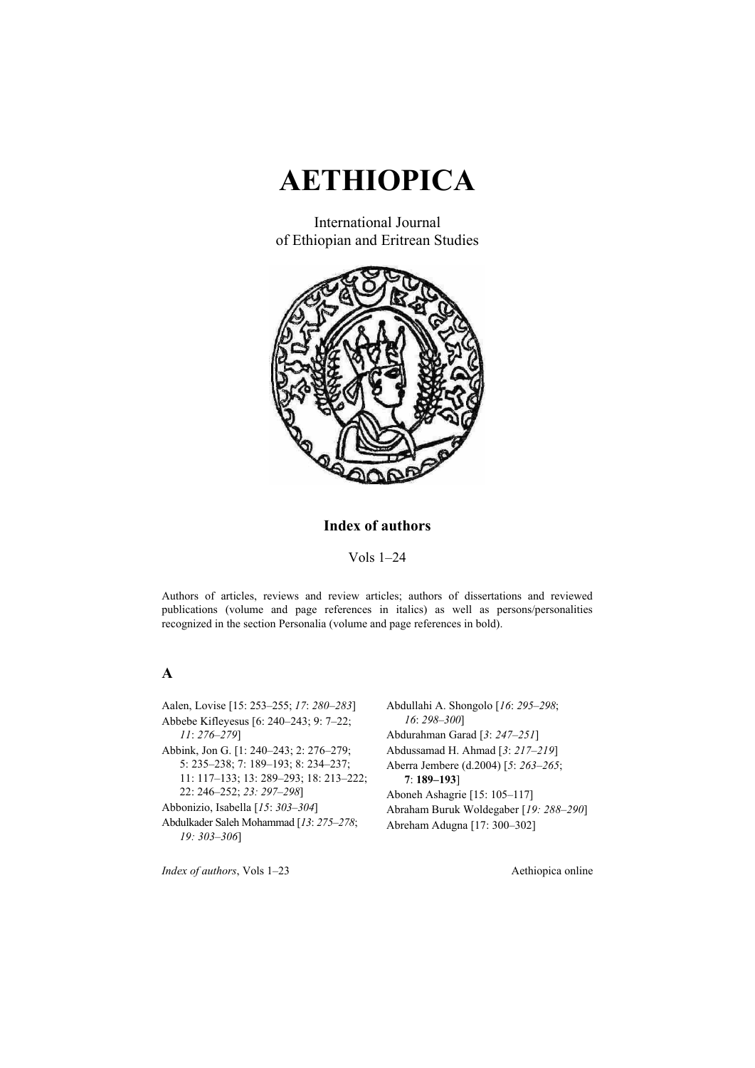

International Journal of Ethiopian and Eritrean Studies



#### **Index of authors**

Vols 1–24

Authors of articles, reviews and review articles; authors of dissertations and reviewed publications (volume and page references in italics) as well as persons/personalities recognized in the section Personalia (volume and page references in bold).

#### **A**

Aalen, Lovise [15: 253–255; *17*: *280–283*] Abbebe Kifleyesus [6: 240–243; 9: 7–22; *11*: *276–279*] Abbink, Jon G. [1: 240–243; 2: 276–279; 5: 235–238; 7: 189–193; 8: 234–237; 11: 117–133; 13: 289–293; 18: 213–222; 22: 246–252; *23: 297–298*] Abbonizio, Isabella [*15*: *303–304*] Abdulkader Saleh Mohammad [*13*: *275–278*; *19: 303–306*]

Abdullahi A. Shongolo [*16*: *295–298*; *16*: *298–300*] Abdurahman Garad [*3*: *247–251*] Abdussamad H. Ahmad [*3*: *217–219*] Aberra Jembere (d.2004) [*5*: *263–265*; **7**: **189–193**] Aboneh Ashagrie [15: 105–117] Abraham Buruk Woldegaber [*19: 288–290*] Abreham Adugna [17: 300–302]

*Index of authors*, Vols 1–23 Aethiopica online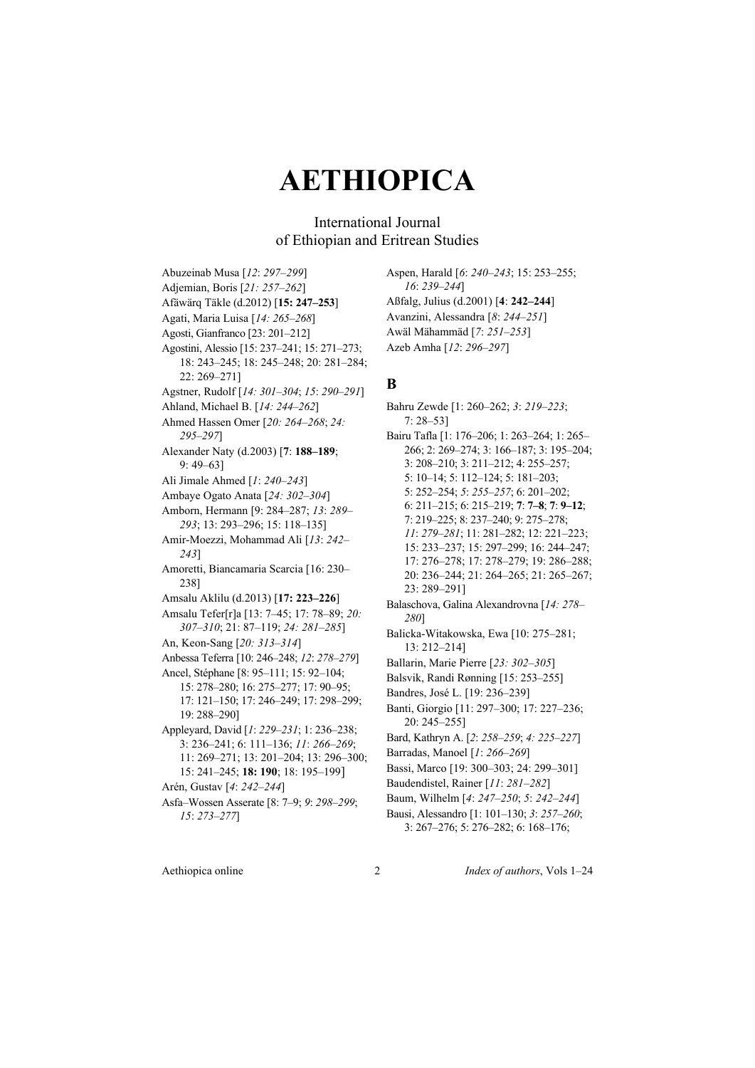### International Journal of Ethiopian and Eritrean Studies

Abuzeinab Musa [*12*: *297–299*] Adjemian, Boris [*21: 257–262*] Afäwärq Täkle (d.2012) [**15: 247–253**] Agati, Maria Luisa [*14: 265–268*] Agosti, Gianfranco [23: 201–212] Agostini, Alessio [15: 237–241; 15: 271–273; 18: 243–245; 18: 245–248; 20: 281–284; 22: 269–271] Agstner, Rudolf [*14: 301–304*; *15*: *290–291*] Ahland, Michael B. [*14: 244–262*] Ahmed Hassen Omer [*20: 264–268*; *24: 295–297*] Alexander Naty (d.2003) [**7**: **188–189**; 9: 49–63] Ali Jimale Ahmed [*1*: *240–243*] Ambaye Ogato Anata [*24: 302–304*] Amborn, Hermann [9: 284–287; *13*: *289– 293*; 13: 293–296; 15: 118–135] Amir-Moezzi, Mohammad Ali [*13*: *242– 243*] Amoretti, Biancamaria Scarcia [16: 230– 238] Amsalu Aklilu (d.2013) [**17: 223–226**] Amsalu Tefer[r]a [13: 7–45; 17: 78–89; *20: 307–310*; 21: 87–119; *24: 281–285*] An, Keon-Sang [*20: 313–314*] Anbessa Teferra [10: 246–248; *12*: *278–279*] Ancel, Stéphane [8: 95–111; 15: 92–104; 15: 278–280; 16: 275–277; 17: 90–95; 17: 121–150; 17: 246–249; 17: 298–299; 19: 288–290] Appleyard, David [*1*: *229–231*; 1: 236–238; 3: 236–241; 6: 111–136; *11*: *266–269*; 11: 269–271; 13: 201–204; 13: 296–300; 15: 241–245; **18: 190**; 18: 195–199] Arén, Gustav [*4*: *242–244*] Asfa–Wossen Asserate [8: 7–9; *9*: *298–299*; *15*: *273–277*]

Aspen, Harald [*6*: *240–243*; 15: 253–255; *16*: *239–244*] Aßfalg, Julius (d.2001) [**4**: **242–244**] Avanzini, Alessandra [*8*: *244–251*] Awäl Mähammäd [*7*: *251–253*] Azeb Amha [*12*: *296–297*]

#### **B**

Bahru Zewde [1: 260–262; *3*: *219–223*; 7: 28–53] Bairu Tafla [1: 176–206; 1: 263–264; 1: 265– 266; 2: 269–274; 3: 166–187; 3: 195–204; 3: 208–210; 3: 211–212; 4: 255–257; 5: 10–14; 5: 112–124; 5: 181–203; 5: 252–254; *5*: *255–257*; 6: 201–202; 6: 211–215; 6: 215–219; **7**: **7–8**; **7**: **9–12**; 7: 219–225; 8: 237–240; 9: 275–278; *11*: *279–281*; 11: 281–282; 12: 221–223; 15: 233–237; 15: 297–299; 16: 244–247; 17: 276–278; 17: 278–279; 19: 286–288; 20: 236–244; 21: 264–265; 21: 265–267; 23: 289–291] Balaschova, Galina Alexandrovna [*14: 278– 280*] Balicka-Witakowska, Ewa [10: 275–281; 13: 212–214] Ballarin, Marie Pierre [*23: 302–305*] Balsvik, Randi Rønning [15: 253–255] Bandres, José L. [19: 236–239] Banti, Giorgio [11: 297–300; 17: 227–236; 20: 245–255] Bard, Kathryn A. [*2*: *258–259*; *4: 225–227*] Barradas, Manoel [*1*: *266–269*] Bassi, Marco [19: 300–303; 24: 299–301] Baudendistel, Rainer [*11*: *281–282*] Baum, Wilhelm [*4*: *247–250*; *5*: *242–244*] Bausi, Alessandro [1: 101–130; *3*: *257–260*; 3: 267–276; 5: 276–282; 6: 168–176;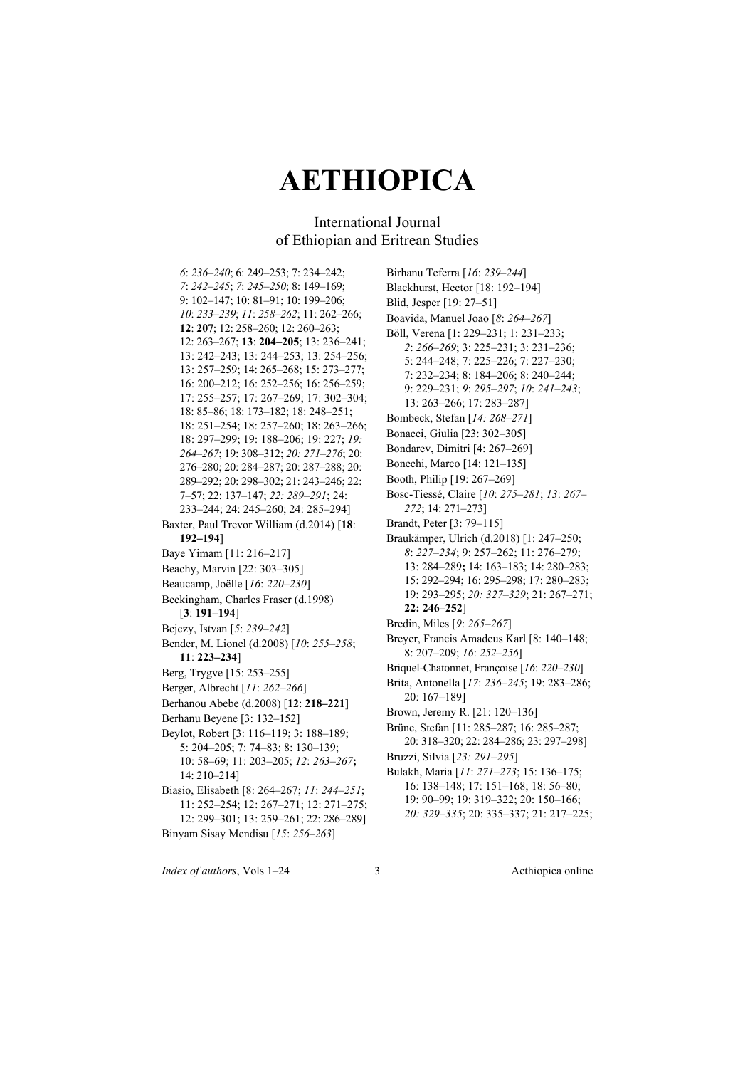### International Journal of Ethiopian and Eritrean Studies

*6*: *236–240*; 6: 249–253; 7: 234–242; *7*: *242–245*; *7*: *245–250*; 8: 149–169; 9: 102–147; 10: 81–91; 10: 199–206; *10*: *233–239*; *11*: *258–262*; 11: 262–266; **12**: **207**; 12: 258–260; 12: 260–263; 12: 263–267; **13**: **204–205**; 13: 236–241; 13: 242–243; 13: 244–253; 13: 254–256; 13: 257–259; 14: 265–268; 15: 273–277; 16: 200–212; 16: 252–256; 16: 256–259; 17: 255–257; 17: 267–269; 17: 302–304; 18: 85–86; 18: 173–182; 18: 248–251; 18: 251–254; 18: 257–260; 18: 263–266; 18: 297–299; 19: 188–206; 19: 227; *19: 264–267*; 19: 308–312; *20: 271–276*; 20: 276–280; 20: 284–287; 20: 287–288; 20: 289–292; 20: 298–302; 21: 243–246; 22: 7–57; 22: 137–147; *22: 289–291*; 24: 233–244; 24: 245–260; 24: 285–294] Baxter, Paul Trevor William (d.2014) [**18**: **192–194**] Baye Yimam [11: 216–217] Beachy, Marvin [22: 303–305] Beaucamp, Joëlle [*16*: *220–230*] Beckingham, Charles Fraser (d.1998) [**3**: **191–194**] Bejczy, Istvan [*5*: *239–242*] Bender, M. Lionel (d.2008) [*10*: *255–258*; **11**: **223–234**] Berg, Trygve [15: 253–255] Berger, Albrecht [*11*: *262–266*] Berhanou Abebe (d.2008) [**12**: **218–221**] Berhanu Beyene [3: 132–152] Beylot, Robert [3: 116–119; 3: 188–189; 5: 204–205; 7: 74–83; 8: 130–139; 10: 58–69; 11: 203–205; *12*: *263–267***;**  14: 210–214] Biasio, Elisabeth [8: 264–267; *11*: *244–251*; 11: 252–254; 12: 267–271; 12: 271–275; 12: 299–301; 13: 259–261; 22: 286–289] Binyam Sisay Mendisu [*15*: *256–263*]

Birhanu Teferra [*16*: *239–244*] Blackhurst, Hector [18: 192–194] Blid, Jesper [19: 27–51] Boavida, Manuel Joao [*8*: *264–267*] Böll, Verena [1: 229–231; 1: 231–233; *2*: *266–269*; 3: 225–231; 3: 231–236; 5: 244–248; 7: 225–226; 7: 227–230; 7: 232–234; 8: 184–206; 8: 240–244; 9: 229–231; *9*: *295–297*; *10*: *241–243*; 13: 263–266; 17: 283–287] Bombeck, Stefan [*14: 268–271*] Bonacci, Giulia [23: 302–305] Bondarev, Dimitri [4: 267–269] Bonechi, Marco [14: 121–135] Booth, Philip [19: 267–269] Bosc-Tiessé, Claire [*10*: *275–281*; *13*: *267– 272*; 14: 271–273] Brandt, Peter [3: 79–115] Braukämper, Ulrich (d.2018) [1: 247–250; *8*: *227–234*; 9: 257–262; 11: 276–279; 13: 284–289**;** 14: 163–183; 14: 280–283; 15: 292–294; 16: 295–298; 17: 280–283; 19: 293–295; *20: 327–329*; 21: 267–271; **22: 246–252**] Bredin, Miles [*9*: *265–267*] Breyer, Francis Amadeus Karl [8: 140–148; 8: 207–209; *16*: *252–256*] Briquel-Chatonnet, Françoise [*16*: *220–230*] Brita, Antonella [*17*: *236–245*; 19: 283–286; 20: 167–189] Brown, Jeremy R. [21: 120–136] Brüne, Stefan [11: 285–287; 16: 285–287; 20: 318–320; 22: 284–286; 23: 297–298] Bruzzi, Silvia [*23: 291–295*] Bulakh, Maria [*11*: *271–273*; 15: 136–175; 16: 138–148; 17: 151–168; 18: 56–80; 19: 90–99; 19: 319–322; 20: 150–166;

*20: 329–335*; 20: 335–337; 21: 217–225;

*Index of authors*, Vols 1–24 3 Aethiopica online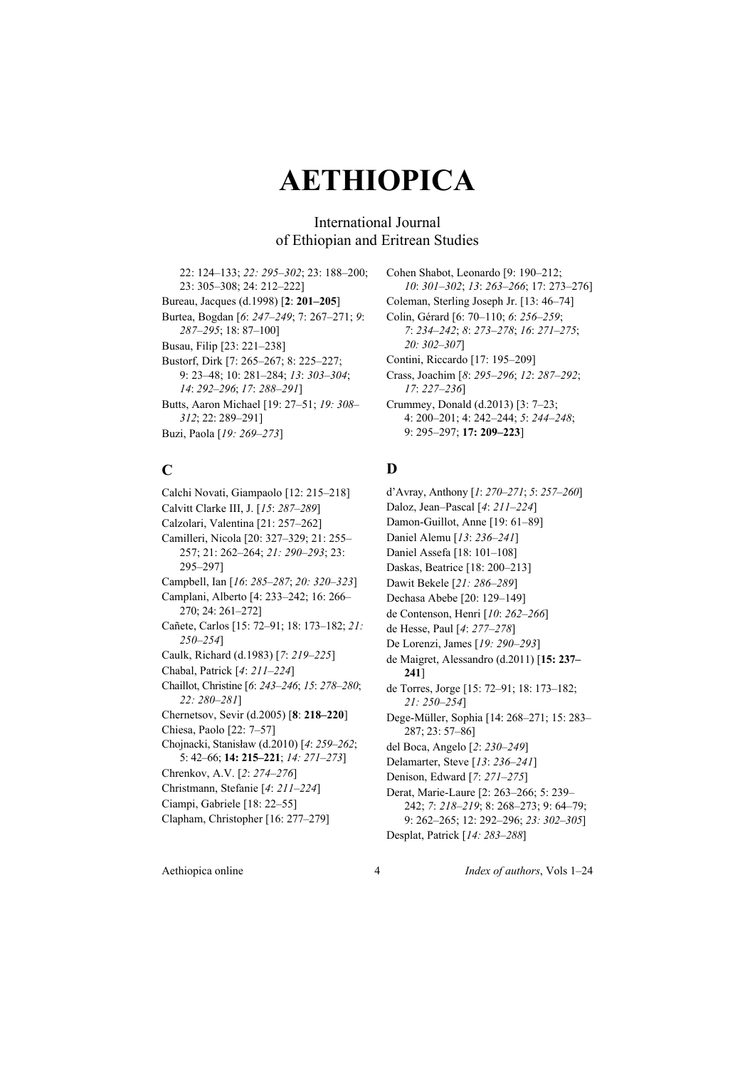### International Journal of Ethiopian and Eritrean Studies

22: 124–133; *22: 295–302*; 23: 188–200; 23: 305–308; 24: 212–222] Bureau, Jacques (d.1998) [**2**: **201–205**] Burtea, Bogdan [*6*: *247–249*; 7: 267–271; *9*: *287–295*; 18: 87–100] Busau, Filip [23: 221–238] Bustorf, Dirk [7: 265–267; 8: 225–227; 9: 23–48; 10: 281–284; *13*: *303–304*; *14*: *292–296*; *17*: *288–291*] Butts, Aaron Michael [19: 27–51; *19: 308– 312*; 22: 289–291] Buzi, Paola [*19: 269–273*]

### **C**

Calchi Novati, Giampaolo [12: 215–218] Calvitt Clarke III, J. [*15*: *287–289*] Calzolari, Valentina [21: 257–262] Camilleri, Nicola [20: 327–329; 21: 255– 257; 21: 262–264; *21: 290–293*; 23: 295–297] Campbell, Ian [*16*: *285–287*; *20: 320–323*] Camplani, Alberto [4: 233–242; 16: 266– 270; 24: 261–272] Cañete, Carlos [15: 72–91; 18: 173–182; *21: 250–254*] Caulk, Richard (d.1983) [*7*: *219*–*225*] Chabal, Patrick [*4*: *211–224*] Chaillot, Christine [*6*: *243–246*; *15*: *278–280*; *22: 280–281*] Chernetsov, Sevir (d.2005) [**8**: **218–220**] Chiesa, Paolo [22: 7–57] Chojnacki, Stanisław (d.2010) [*4*: *259–262*; 5: 42–66; **14: 215–221**; *14: 271–273*] Chrenkov, A.V. [*2*: *274–276*] Christmann, Stefanie [*4*: *211–224*] Ciampi, Gabriele [18: 22–55] Clapham, Christopher [16: 277–279]

Cohen Shabot, Leonardo [9: 190–212; *10*: *301–302*; *13*: *263–266*; 17: 273–276] Coleman, Sterling Joseph Jr. [13: 46–74] Colin, Gérard [6: 70–110; *6*: *256–259*; *7*: *234–242*; *8*: *273–278*; *16*: *271–275*; *20: 302–307*] Contini, Riccardo [17: 195–209] Crass, Joachim [*8*: *295–296*; *12*: *287–292*; *17*: *227–236*] Crummey, Donald (d.2013) [3: 7–23; 4: 200–201; 4: 242–244; *5*: *244–248*; 9: 295–297; **17: 209–223**]

### **D**

d'Avray, Anthony [*1*: *270–271*; *5*: *257–260*] Daloz, Jean–Pascal [*4*: *211–224*] Damon-Guillot, Anne [19: 61–89] Daniel Alemu [*13*: *236–241*] Daniel Assefa [18: 101–108] Daskas, Beatrice [18: 200–213] Dawit Bekele [*21: 286–289*] Dechasa Abebe [20: 129–149] de Contenson, Henri [*10*: *262–266*] de Hesse, Paul [*4*: *277*–*278*] De Lorenzi, James [*19: 290–293*] de Maigret, Alessandro (d.2011) [**15: 237– 241**] de Torres, Jorge [15: 72–91; 18: 173–182; *21: 250–254*] Dege-Müller, Sophia [14: 268–271; 15: 283– 287; 23: 57–86] del Boca, Angelo [*2*: *230–249*] Delamarter, Steve [*13*: *236–241*] Denison, Edward [*7*: *271–275*] Derat, Marie-Laure [2: 263–266; 5: 239– 242; *7*: *218–219*; 8: 268–273; 9: 64–79; 9: 262–265; 12: 292–296; *23: 302–305*] Desplat, Patrick [*14: 283–288*]

Aethiopica online 4 *Index of authors*, Vols 1–24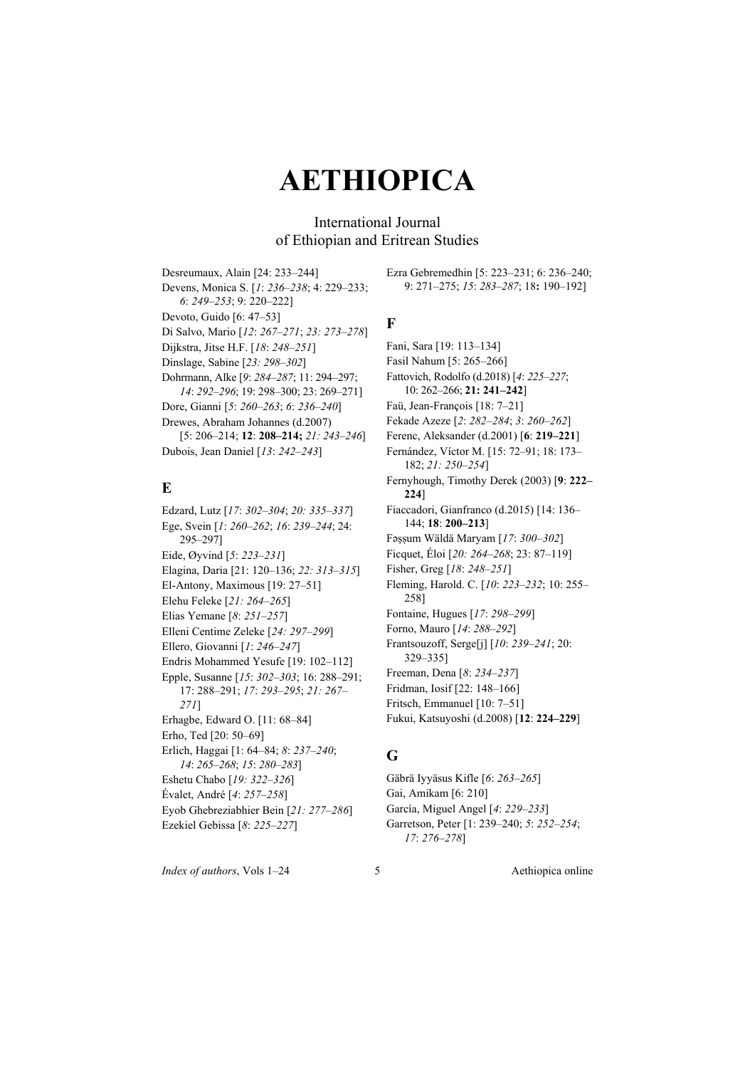International Journal of Ethiopian and Eritrean Studies

Desreumaux, Alain [24: 233–244] Devens, Monica S. [*1*: *236–238*; 4: 229–233; *6*: *249–253*; 9: 220–222] Devoto, Guido [6: 47–53] Di Salvo, Mario [*12*: *267–271*; *23: 273–278*] Dijkstra, Jitse H.F. [*18*: *248–251*] Dinslage, Sabine [*23: 298–302*] Dohrmann, Alke [*9*: *284–287*; 11: 294–297; *14*: *292–296*; 19: 298–300; 23: 269–271] Dore, Gianni [*5*: *260–263*; *6*: *236–240*] Drewes, Abraham Johannes (d.2007) [5: 206–214; **12**: **208–214;** *21: 243–246*] Dubois, Jean Daniel [*13*: *242–243*]

### **E**

Edzard, Lutz [*17*: *302–304*; *20: 335–337*] Ege, Svein [*1*: *260–262*; *16*: *239–244*; 24: 295–297] Eide, Øyvind [*5*: *223–231*] Elagina, Daria [21: 120–136; *22: 313–315*] El-Antony, Maximous [19: 27–51] Elehu Feleke [*21: 264–265*] Elias Yemane [*8*: *251–257*] Elleni Centime Zeleke [*24: 297–299*] Ellero, Giovanni [*1*: *246–247*] Endris Mohammed Yesufe [19: 102–112] Epple, Susanne [*15*: *302–303*; 16: 288–291; 17: 288–291; *17*: *293–295*; *21: 267– 271*] Erhagbe, Edward O. [11: 68–84] Erho, Ted [20: 50–69] Erlich, Haggai [1: 64–84; *8*: *237–240*; *14*: *265–268*; *15*: *280–283*] Eshetu Chabo [*19: 322–326*] Évalet, André [*4*: *257–258*] Eyob Ghebreziabhier Bein [*21: 277–286*] Ezekiel Gebissa [*8*: *225–227*]

Ezra Gebremedhin [5: 223–231; 6: 236–240; 9: 271–275; *15*: *283–287*; 18**:** 190–192]

### **F**

Fani, Sara [19: 113–134] Fasil Nahum [5: 265–266] Fattovich, Rodolfo (d.2018) [*4*: *225–227*; 10: 262–266; **21: 241–242**] Faü, Jean-François [18: 7–21] Fekade Azeze [*2*: *282–284*; *3*: *260–262*] Ferenc, Aleksander (d.2001) [**6**: **219–221**] Fernández, Víctor M. [15: 72–91; 18: 173– 182; *21: 250–254*] Fernyhough, Timothy Derek (2003) [**9**: **222– 224**] Fiaccadori, Gianfranco (d.2015) [14: 136– 144; **18**: **200–213**] Fǝṣṣum Wäldä Maryam [*17*: *300–302*] Ficquet, Éloi [*20: 264–268*; 23: 87–119] Fisher, Greg [*18*: *248–251*] Fleming, Harold. C. [*10*: *223–232*; 10: 255– 258] Fontaine, Hugues [*17*: *298–299*] Forno, Mauro [*14*: *288–292*] Frantsouzoff, Serge[j] [*10*: *239–241*; 20: 329–335] Freeman, Dena [*8*: *234–237*] Fridman, Iosif [22: 148–166] Fritsch, Emmanuel [10: 7–51] Fukui, Katsuyoshi (d.2008) [**12**: **224–229**]

### **G**

Gäbrä Iyyäsus Kifle [*6*: *263–265*] Gai, Amikam [6: 210] García, Miguel Angel [*4*: *229–233*] Garretson, Peter [1: 239–240; *5*: *252–254*; *17*: *276–278*]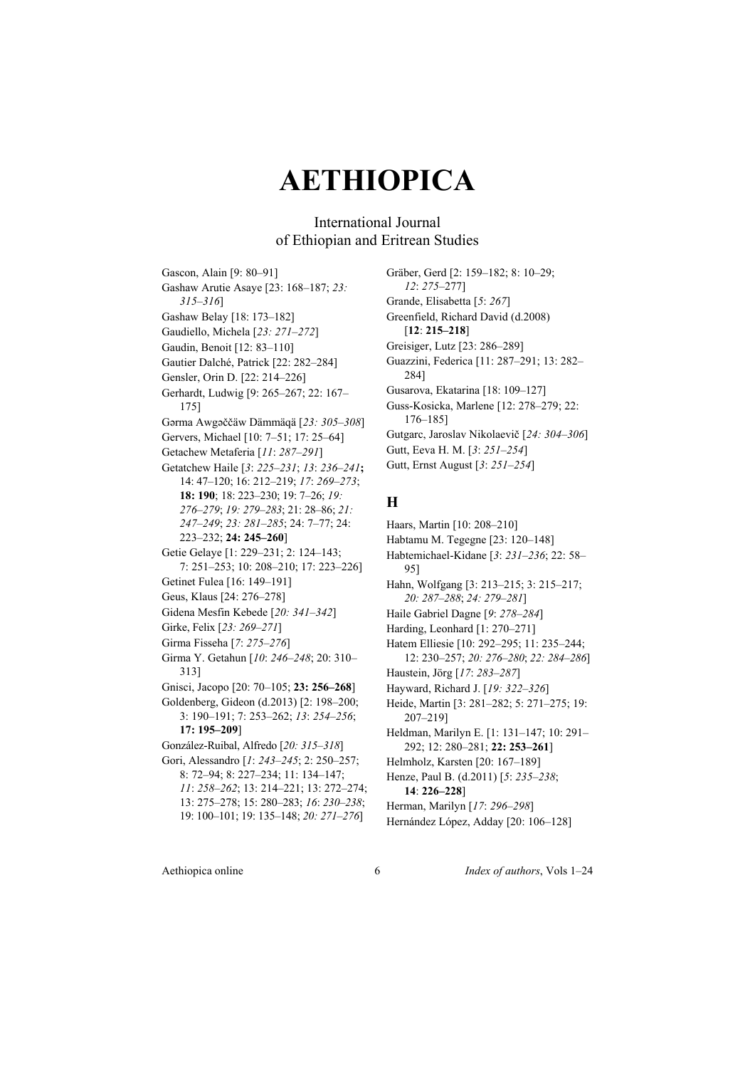### International Journal of Ethiopian and Eritrean Studies

Gascon, Alain [9: 80–91] Gashaw Arutie Asaye [23: 168–187; *23: 315–316*] Gashaw Belay [18: 173–182] Gaudiello, Michela [*23: 271–272*] Gaudin, Benoit [12: 83–110] Gautier Dalché, Patrick [22: 282–284] Gensler, Orin D. [22: 214–226] Gerhardt, Ludwig [9: 265–267; 22: 167– 175] Gǝrma Awgǝččäw Dämmäqä [*23: 305–308*] Gervers, Michael [10: 7–51; 17: 25–64] Getachew Metaferia [*11*: *287–291*] Getatchew Haile [*3*: *225–231*; *13*: *236–241***;**  14: 47–120; 16: 212–219; *17*: *269–273*; **18: 190**; 18: 223–230; 19: 7–26; *19: 276–279*; *19: 279–283*; 21: 28–86; *21: 247–249*; *23: 281–285*; 24: 7–77; 24: 223–232; **24: 245–260**] Getie Gelaye [1: 229–231; 2: 124–143; 7: 251–253; 10: 208–210; 17: 223–226] Getinet Fulea [16: 149–191] Geus, Klaus [24: 276–278] Gidena Mesfin Kebede [*20: 341–342*] Girke, Felix [*23: 269–271*] Girma Fisseha [*7*: *275–276*] Girma Y. Getahun [*10*: *246–248*; 20: 310– 313] Gnisci, Jacopo [20: 70–105; **23: 256–268**] Goldenberg, Gideon (d.2013) [2: 198–200; 3: 190–191; 7: 253–262; *13*: *254–256*; **17: 195–209**] González-Ruibal, Alfredo [*20: 315–318*] Gori, Alessandro [*1*: *243–245*; 2: 250–257; 8: 72–94; 8: 227–234; 11: 134–147; *11*: *258–262*; 13: 214–221; 13: 272–274; 13: 275–278; 15: 280–283; *16*: *230–238*; 19: 100–101; 19: 135–148; *20: 271–276*]

Gräber, Gerd [2: 159–182; 8: 10–29; *12*: *275–*277] Grande, Elisabetta [*5*: *267*] Greenfield, Richard David (d.2008) [**12**: **215–218**] Greisiger, Lutz [23: 286–289] Guazzini, Federica [11: 287–291; 13: 282– 284] Gusarova, Ekatarina [18: 109–127] Guss-Kosicka, Marlene [12: 278–279; 22: 176–185] Gutgarc, Jaroslav Nikolaevič [*24: 304–306*] Gutt, Eeva H. M. [*3*: *251–254*] Gutt, Ernst August [*3*: *251–254*]

#### **H**

Haars, Martin [10: 208–210] Habtamu M. Tegegne [23: 120–148] Habtemichael-Kidane [*3*: *231–236*; 22: 58– 95] Hahn, Wolfgang [3: 213–215; 3: 215–217; *20: 287–288*; *24: 279–281*] Haile Gabriel Dagne [*9*: *278–284*] Harding, Leonhard [1: 270-271] Hatem Elliesie [10: 292–295; 11: 235–244; 12: 230–257; *20: 276–280*; *22: 284–286*] Haustein, Jörg [*17*: *283–287*] Hayward, Richard J. [*19: 322–326*] Heide, Martin [3: 281–282; 5: 271–275; 19: 207–219] Heldman, Marilyn E. [1: 131–147; 10: 291– 292; 12: 280–281; **22: 253–261**] Helmholz, Karsten [20: 167–189] Henze, Paul B. (d.2011) [*5*: *235–238*; **14**: **226–228**]

- Herman, Marilyn [*17*: *296–298*]
- Hernández López, Adday [20: 106–128]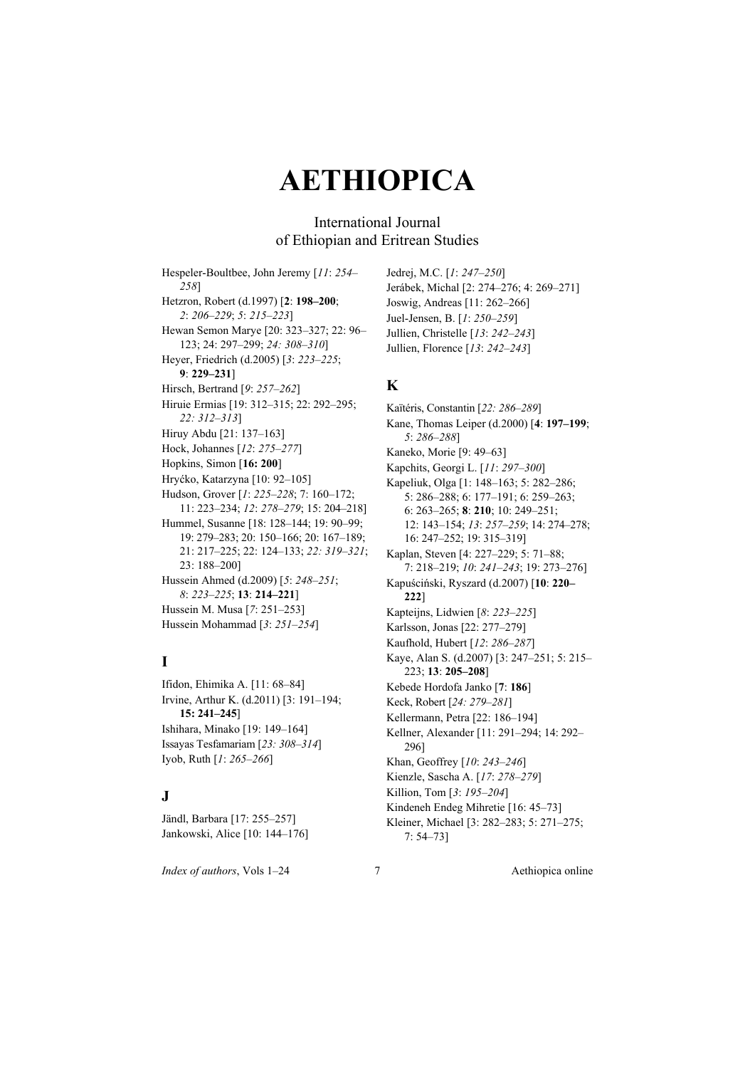### International Journal of Ethiopian and Eritrean Studies

Hespeler-Boultbee, John Jeremy [*11*: *254– 258*] Hetzron, Robert (d.1997) [**2**: **198–200**; *2*: *206–229*; *5*: *215–223*] Hewan Semon Marye [20: 323–327; 22: 96– 123; 24: 297–299; *24: 308–310*] Heyer, Friedrich (d.2005) [*3*: *223–225*; **9**: **229–231**] Hirsch, Bertrand [*9*: *257–262*] Hiruie Ermias [19: 312–315; 22: 292–295; *22: 312–313*] Hiruy Abdu [21: 137–163] Hock, Johannes [*12*: *275–277*] Hopkins, Simon [**16: 200**] Hryćko, Katarzyna [10: 92–105] Hudson, Grover [*1*: *225–228*; 7: 160–172; 11: 223–234; *12*: *278–279*; 15: 204–218] Hummel, Susanne [18: 128–144; 19: 90–99; 19: 279–283; 20: 150–166; 20: 167–189; 21: 217–225; 22: 124–133; *22: 319–321*; 23: 188–200] Hussein Ahmed (d.2009) [*5*: *248–251*; *8*: *223–225*; **13**: **214–221**] Hussein M. Musa [*7*: 251–253] Hussein Mohammad [*3*: *251–254*]

## **I**

Ifidon, Ehimika A. [11: 68–84] Irvine, Arthur K. (d.2011) [3: 191–194; **15: 241–245**] Ishihara, Minako [19: 149–164] Issayas Tesfamariam [*23: 308–314*] Iyob, Ruth [*1*: *265–266*]

#### **J**

Jändl, Barbara [17: 255–257] Jankowski, Alice [10: 144–176]

*Index of authors*, Vols 1–24 7 Aethiopica online

Jedrej, M.C. [*1*: *247–250*] Jerábek, Michal [2: 274–276; 4: 269–271] Joswig, Andreas [11: 262–266] Juel-Jensen, B. [*1*: *250–259*] Jullien, Christelle [*13*: *242–243*] Jullien, Florence [*13*: *242–243*]

### **K**

Kaïtéris, Constantin [*22: 286–289*] Kane, Thomas Leiper (d.2000) [**4**: **197–199**; *5*: *286–288*] Kaneko, Morie [9: 49–63] Kapchits, Georgi L. [*11*: *297–300*] Kapeliuk, Olga [1: 148–163; 5: 282–286; 5: 286–288; 6: 177–191; 6: 259–263; 6: 263–265; **8**: **210**; 10: 249–251; 12: 143–154; *13*: *257–259*; 14: 274–278; 16: 247–252; 19: 315–319] Kaplan, Steven [4: 227–229; 5: 71–88; 7: 218–219; *10*: *241–243*; 19: 273–276] Kapuściński, Ryszard (d.2007) [**10**: **220– 222**] Kapteijns, Lidwien [*8*: *223–225*] Karlsson, Jonas [22: 277–279] Kaufhold, Hubert [*12*: *286–287*] Kaye, Alan S. (d.2007) [3: 247–251; 5: 215– 223; **13**: **205–208**] Kebede Hordofa Janko [**7**: **186**] Keck, Robert [*24: 279–281*] Kellermann, Petra [22: 186–194] Kellner, Alexander [11: 291–294; 14: 292– 296] Khan, Geoffrey [*10*: *243–246*] Kienzle, Sascha A. [*17*: *278–279*] Killion, Tom [*3*: *195–204*] Kindeneh Endeg Mihretie [16: 45–73] Kleiner, Michael [3: 282–283; 5: 271–275; 7: 54–73]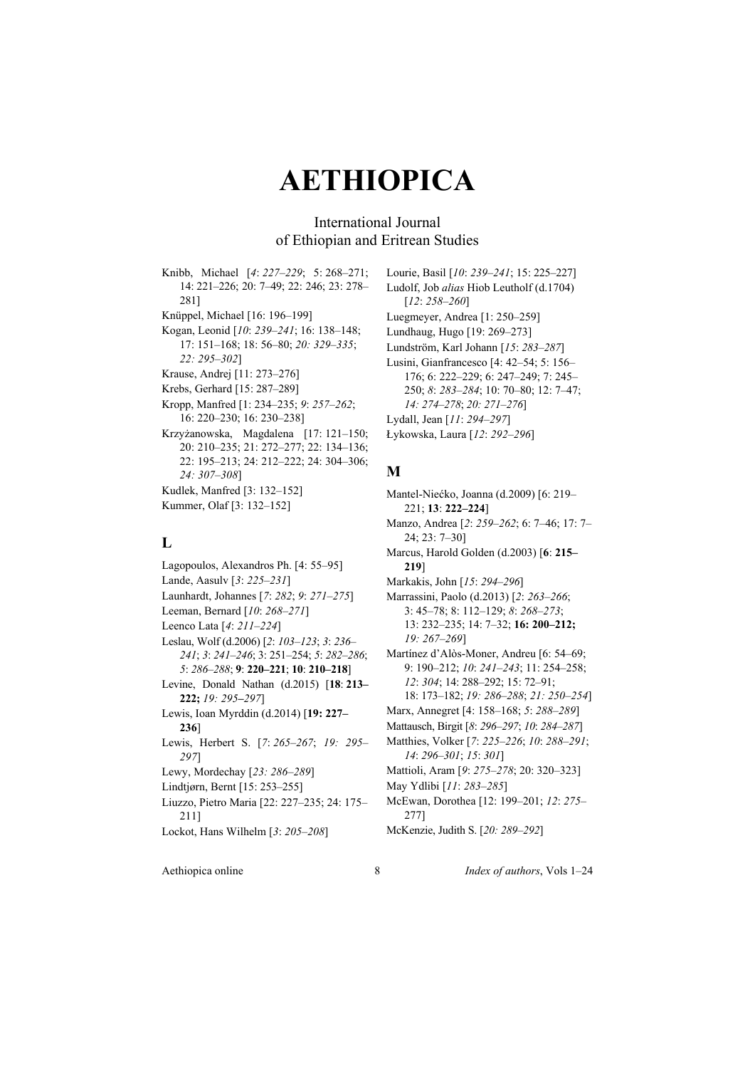### International Journal of Ethiopian and Eritrean Studies

Knibb, Michael [*4*: *227–229*; 5: 268–271; 14: 221–226; 20: 7–49; 22: 246; 23: 278– 281] Knüppel, Michael [16: 196–199] Kogan, Leonid [*10*: *239–241*; 16: 138–148; 17: 151–168; 18: 56–80; *20: 329–335*; *22: 295–302*] Krause, Andrej [11: 273–276] Krebs, Gerhard [15: 287–289] Kropp, Manfred [1: 234–235; *9*: *257–262*; 16: 220–230; 16: 230–238] Krzyżanowska, Magdalena [17: 121–150; 20: 210–235; 21: 272–277; 22: 134–136; 22: 195–213; 24: 212–222; 24: 304–306; *24: 307–308*] Kudlek, Manfred [3: 132–152] Kummer, Olaf [3: 132–152]

#### **L**

Lagopoulos, Alexandros Ph. [4: 55–95] Lande, Aasulv [*3*: *225–231*] Launhardt, Johannes [*7*: *282*; *9*: *271–275*] Leeman, Bernard [*10*: *268–271*] Leenco Lata [*4*: *211–224*] Leslau, Wolf (d.2006) [*2*: *103–123*; *3*: *236– 241*; *3*: *241–246*; 3: 251–254; *5*: *282–286*; *5*: *286–288*; **9**: **220–221**; **10**: **210–218**] Levine, Donald Nathan (d.2015) [**18**: **213– 222;** *19: 295–297*] Lewis, Ioan Myrddin (d.2014) [**19: 227– 236**] Lewis, Herbert S. [*7*: *265–267*; *19: 295– 297*] Lewy, Mordechay [*23: 286–289*] Lindtjørn, Bernt [15: 253–255] Liuzzo, Pietro Maria [22: 227–235; 24: 175– 211] Lockot, Hans Wilhelm [*3*: *205–208*]

Lourie, Basil [*10*: *239–241*; 15: 225–227] Ludolf, Job *alias* Hiob Leutholf (d.1704) [*12*: *258–260*] Luegmeyer, Andrea [1: 250–259] Lundhaug, Hugo [19: 269–273] Lundström, Karl Johann [*15*: *283–287*] Lusini, Gianfrancesco [4: 42–54; 5: 156– 176; 6: 222–229; 6: 247–249; 7: 245– 250; *8*: *283–284*; 10: 70–80; 12: 7–47; *14: 274–278*; *20: 271–276*] Lydall, Jean [*11*: *294–297*] Łykowska, Laura [*12*: *292–296*]

### **M**

Mantel-Niećko, Joanna (d.2009) [6: 219– 221; **13**: **222–224**] Manzo, Andrea [*2*: *259–262*; 6: 7–46; 17: 7– 24; 23: 7–30] Marcus, Harold Golden (d.2003) [**6**: **215– 219**] Markakis, John [*15*: *294–296*] Marrassini, Paolo (d.2013) [*2*: *263–266*; 3: 45–78; 8: 112–129; *8*: *268–273*; 13: 232–235; 14: 7–32; **16: 200–212;**  *19: 267–269*] Martínez d'Alòs-Moner, Andreu [6: 54–69; 9: 190–212; *10*: *241–243*; 11: 254–258; *12*: *304*; 14: 288–292; 15: 72–91; 18: 173–182; *19: 286–288*; *21: 250–254*] Marx, Annegret [4: 158–168; *5*: *288–289*] Mattausch, Birgit [*8*: *296–297*; *10*: *284–287*] Matthies, Volker [*7*: *225–226*; *10*: *288–291*; *14*: *296–301*; *15*: *301*] Mattioli, Aram [*9*: *275–278*; 20: 320–323] May Ydlibi [*11*: *283–285*] McEwan, Dorothea [12: 199–201; *12*: *275–* 277] McKenzie, Judith S. [*20: 289–292*]

Aethiopica online 8 *Index of authors*, Vols 1–24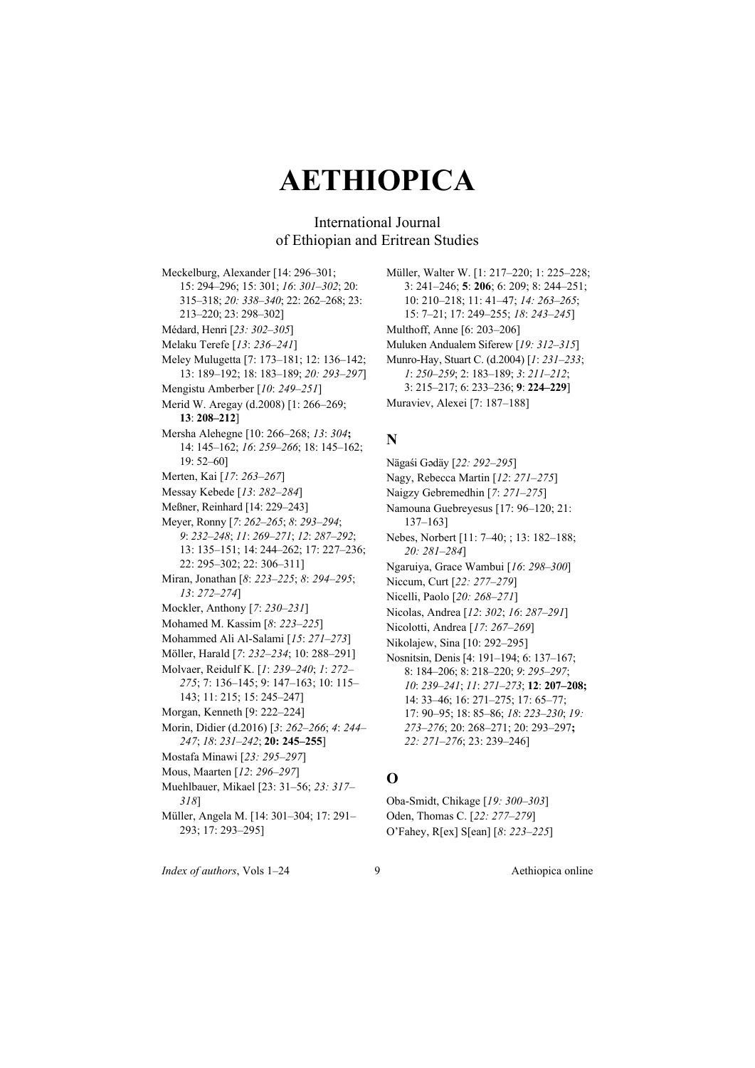### International Journal of Ethiopian and Eritrean Studies

Meckelburg, Alexander [14: 296–301; 15: 294–296; 15: 301; *16*: *301–302*; 20: 315–318; *20: 338–340*; 22: 262–268; 23: 213–220; 23: 298–302] Médard, Henri [*23: 302–305*] Melaku Terefe [*13*: *236–241*] Meley Mulugetta [7: 173–181; 12: 136–142; 13: 189–192; 18: 183–189; *20: 293–297*] Mengistu Amberber [*10*: *249–251*] Merid W. Aregay (d.2008) [1: 266–269; **13**: **208–212**] Mersha Alehegne [10: 266–268; *13*: *304***;**  14: 145–162; *16*: *259–266*; 18: 145–162; 19: 52–60] Merten, Kai [*17*: *263–267*] Messay Kebede [*13*: *282–284*] Meßner, Reinhard [14: 229–243] Meyer, Ronny [*7*: *262–265*; *8*: *293–294*; *9*: *232–248*; *11*: *269–271*; *12*: *287–292*; 13: 135–151; 14: 244–262; 17: 227–236; 22: 295–302; 22: 306–311] Miran, Jonathan [*8*: *223–225*; *8*: *294–295*; *13*: *272–274*] Mockler, Anthony [*7*: *230–231*] Mohamed M. Kassim [*8*: *223–225*] Mohammed Ali Al-Salami [*15*: *271–273*] Möller, Harald [*7*: *232–234*; 10: 288–291] Molvaer, Reidulf K. [*1*: *239–240*; *1*: *272– 275*; 7: 136–145; 9: 147–163; 10: 115– 143; 11: 215; 15: 245–247] Morgan, Kenneth [9: 222–224] Morin, Didier (d.2016) [*3*: *262–266*; *4*: *244– 247*; *18*: *231–242*; **20: 245–255**] Mostafa Minawi [*23: 295–297*] Mous, Maarten [*12*: *296–297*] Muehlbauer, Mikael [23: 31–56; *23: 317– 318*] Müller, Angela M. [14: 301–304; 17: 291– 293; 17: 293–295]

Müller, Walter W. [1: 217–220; 1: 225–228; 3: 241–246; **5**: **206**; 6: 209; 8: 244–251; 10: 210–218; 11: 41–47; *14: 263–265*; 15: 7–21; 17: 249–255; *18*: *243–245*] Multhoff, Anne [6: 203–206] Muluken Andualem Siferew [*19: 312–315*] Munro-Hay, Stuart C. (d.2004) [*1*: *231–233*; *1*: *250–259*; 2: 183–189; *3*: *211–212*; 3: 215–217; 6: 233–236; **9**: **224–229**]

Muraviev, Alexei [7: 187–188]

#### **N**

- Nägaśi Gǝdäy [*22: 292–295*]
- Nagy, Rebecca Martin [*12*: *271–275*]
- Naigzy Gebremedhin [*7*: *271–275*]
- Namouna Guebreyesus [17: 96–120; 21: 137–163]
- Nebes, Norbert [11: 7–40; ; 13: 182–188; *20: 281–284*]
- Ngaruiya, Grace Wambui [*16*: *298–300*]
- Niccum, Curt [*22: 277–279*]
- Nicelli, Paolo [*20: 268–271*]
- Nicolas, Andrea [*12*: *302*; *16*: *287–291*]
- Nicolotti, Andrea [*17*: *267–269*]
- Nikolajew, Sina [10: 292–295]
- Nosnitsin, Denis [4: 191–194; 6: 137–167; 8: 184–206; 8: 218–220; *9*: *295–297*; *10*: *239–241*; *11*: *271–273*; **12**: **207–208;**  14: 33–46; 16: 271–275; 17: 65–77; 17: 90–95; 18: 85–86; *18*: *223–230*; *19: 273–276*; 20: 268–271; 20: 293–297**;**  *22: 271–276*; 23: 239–246]

### **O**

Oba-Smidt, Chikage [*19: 300–303*] Oden, Thomas C. [*22: 277–279*] O'Fahey, R[ex] S[ean] [*8*: *223–225*]

*Index of authors*, Vols 1–24 9 Aethiopica online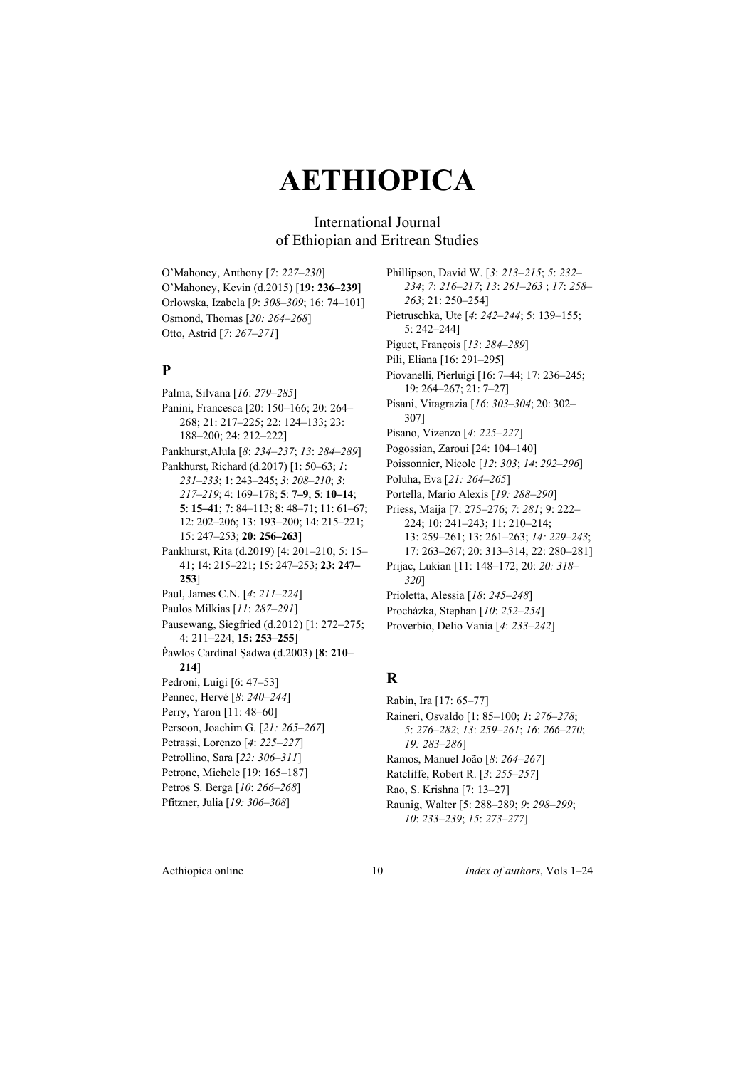### International Journal of Ethiopian and Eritrean Studies

O'Mahoney, Anthony [*7*: *227–230*] O'Mahoney, Kevin (d.2015) [**19: 236–239**] Orlowska, Izabela [*9*: *308–309*; 16: 74–101] Osmond, Thomas [*20: 264–268*] Otto, Astrid [*7*: *267–271*]

### **P**

Palma, Silvana [*16*: *279–285*] Panini, Francesca [20: 150–166; 20: 264– 268; 21: 217–225; 22: 124–133; 23: 188–200; 24: 212–222] Pankhurst,Alula [*8*: *234–237*; *13*: *284–289*] Pankhurst, Richard (d.2017) [1: 50–63; *1*: *231–233*; 1: 243–245; *3*: *208–210*; *3*: *217–219*; 4: 169–178; **5**: **7–9**; **5**: **10–14**; **5**: **15–41**; 7: 84–113; 8: 48–71; 11: 61–67; 12: 202–206; 13: 193–200; 14: 215–221; 15: 247–253; **20: 256–263**] Pankhurst, Rita (d.2019) [4: 201–210; 5: 15– 41; 14: 215–221; 15: 247–253; **23: 247– 253**] Paul, James C.N. [*4*: *211–224*] Paulos Milkias [*11*: *287–291*] Pausewang, Siegfried (d.2012) [1: 272–275; 4: 211–224; **15: 253–255**] Ṗawlos Cardinal Ṣadwa (d.2003) [**8**: **210– 214**] Pedroni, Luigi [6: 47–53] Pennec, Hervé [*8*: *240–244*] Perry, Yaron [11: 48–60] Persoon, Joachim G. [*21: 265–267*] Petrassi, Lorenzo [*4*: *225–227*] Petrollino, Sara [*22: 306–311*] Petrone, Michele [19: 165–187] Petros S. Berga [*10*: *266–268*] Pfitzner, Julia [*19: 306–308*]

Phillipson, David W. [*3*: *213–215*; *5*: *232– 234*; *7*: *216–217*; *13*: *261–263* ; *17*: *258– 263*; 21: 250–254] Pietruschka, Ute [*4*: *242–244*; 5: 139–155; 5: 242–244] Piguet, François [*13*: *284–289*] Pili, Eliana [16: 291–295] Piovanelli, Pierluigi [16: 7–44; 17: 236–245; 19: 264–267; 21: 7–27] Pisani, Vitagrazia [*16*: *303–304*; 20: 302– 307] Pisano, Vizenzo [*4*: *225–227*] Pogossian, Zaroui [24: 104–140] Poissonnier, Nicole [*12*: *303*; *14*: *292–296*] Poluha, Eva [*21: 264–265*] Portella, Mario Alexis [*19: 288–290*] Priess, Maija [7: 275–276; *7*: *281*; 9: 222– 224; 10: 241–243; 11: 210–214; 13: 259–261; 13: 261–263; *14: 229–243*; 17: 263–267; 20: 313–314; 22: 280–281] Prijac, Lukian [11: 148–172; 20: *20: 318– 320*] Prioletta, Alessia [*18*: *245–248*] Procházka, Stephan [*10*: *252–254*] Proverbio, Delio Vania [*4*: *233–242*]

### **R**

Rabin, Ira [17: 65–77] Raineri, Osvaldo [1: 85–100; *1*: *276–278*; *5*: *276–282*; *13*: *259–261*; *16*: *266–270*; *19: 283–286*] Ramos, Manuel João [*8*: *264–267*] Ratcliffe, Robert R. [*3*: *255–257*] Rao, S. Krishna [7: 13–27] Raunig, Walter [5: 288–289; *9*: *298–299*; *10*: *233–239*; *15*: *273–277*]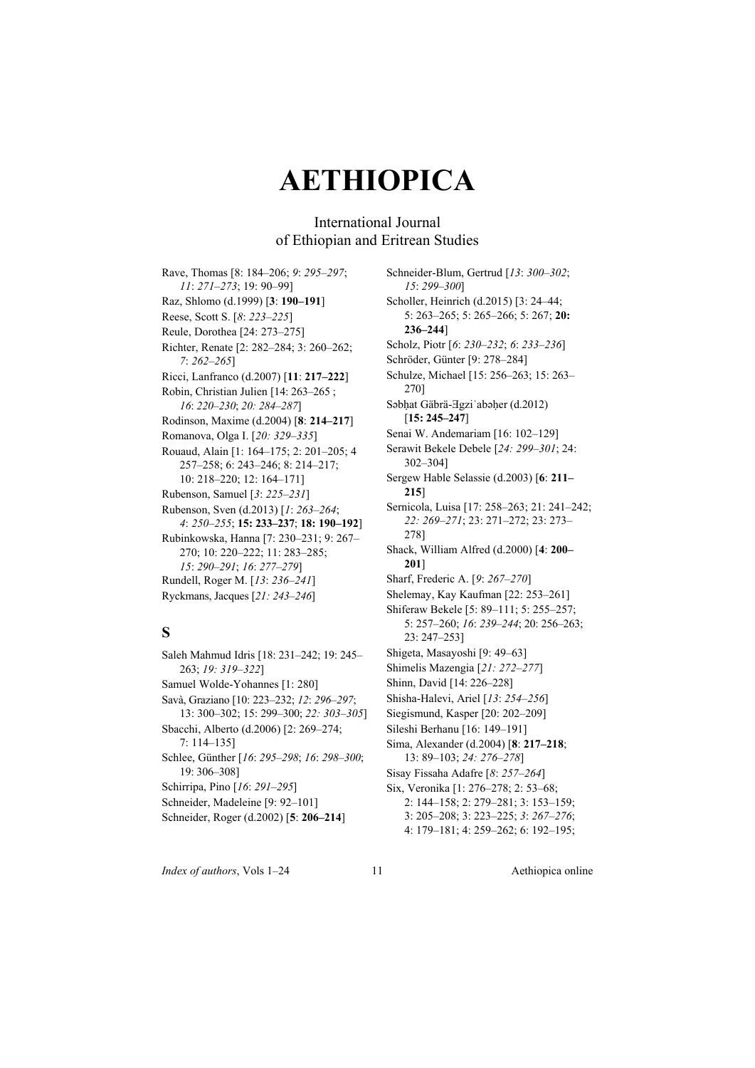### International Journal of Ethiopian and Eritrean Studies

Rave, Thomas [8: 184–206; *9*: *295–297*; *11*: *271–273*; 19: 90–99] Raz, Shlomo (d.1999) [**3**: **190–191**] Reese, Scott S. [*8*: *223–225*] Reule, Dorothea [24: 273–275] Richter, Renate [2: 282–284; 3: 260–262; *7*: *262–265*] Ricci, Lanfranco (d.2007) [**11**: **217–222**] Robin, Christian Julien [14: 263–265 ; *16*: *220–230*; *20: 284–287*] Rodinson, Maxime (d.2004) [**8**: **214–217**] Romanova, Olga I. [*20: 329–335*] Rouaud, Alain [1: 164–175; 2: 201–205; 4 257–258; 6: 243–246; 8: 214–217; 10: 218–220; 12: 164–171] Rubenson, Samuel [*3*: *225–231*] Rubenson, Sven (d.2013) [*1*: *263–264*; *4*: *250–255*; **15: 233–237**; **18: 190–192**] Rubinkowska, Hanna [7: 230–231; 9: 267– 270; 10: 220–222; 11: 283–285; *15*: *290–291*; *16*: *277–279*] Rundell, Roger M. [*13*: *236–241*] Ryckmans, Jacques [*21: 243–246*]

## **S**

Saleh Mahmud Idris [18: 231–242; 19: 245– 263; *19: 319–322*] Samuel Wolde-Yohannes [1: 280] Savà, Graziano [10: 223–232; *12*: *296–297*; 13: 300–302; 15: 299–300; *22: 303–305*] Sbacchi, Alberto (d.2006) [2: 269–274; 7: 114–135] Schlee, Günther [*16*: *295–298*; *16*: *298–300*; 19: 306–308] Schirripa, Pino [*16*: *291–295*] Schneider, Madeleine [9: 92–101] Schneider, Roger (d.2002) [**5**: **206–214**]

Schneider-Blum, Gertrud [*13*: *300–302*; *15*: *299–300*] Scholler, Heinrich (d.2015) [3: 24–44; 5: 263–265; 5: 265–266; 5: 267; **20: 236–244**] Scholz, Piotr [*6*: *230–232*; *6*: *233–236*] Schröder, Günter [9: 278–284] Schulze, Michael [15: 256–263; 15: 263– 270] Sabhat Gäbrä-∃gzi'abaher (d.2012) [**15: 245–247**] Senai W. Andemariam [16: 102–129] Serawit Bekele Debele [*24: 299–301*; 24: 302–304] Sergew Hable Selassie (d.2003) [**6**: **211– 215**] Sernicola, Luisa [17: 258–263; 21: 241–242; *22: 269–271*; 23: 271–272; 23: 273– 278] Shack, William Alfred (d.2000) [**4**: **200– 201**] Sharf, Frederic A. [*9*: *267–270*] Shelemay, Kay Kaufman [22: 253–261] Shiferaw Bekele [5: 89–111; 5: 255–257; 5: 257–260; *16*: *239–244*; 20: 256–263; 23: 247–253] Shigeta, Masayoshi [9: 49–63] Shimelis Mazengia [*21: 272–277*] Shinn, David [14: 226–228] Shisha-Halevi, Ariel [*13*: *254–256*] Siegismund, Kasper [20: 202–209] Sileshi Berhanu [16: 149–191] Sima, Alexander (d.2004) [**8**: **217–218**; 13: 89–103; *24: 276–278*] Sisay Fissaha Adafre [*8*: *257–264*] Six, Veronika [1: 276–278; 2: 53–68; 2: 144–158; 2: 279–281; 3: 153–159; 3: 205–208; 3: 223–225; *3*: *267–276*;

4: 179–181; 4: 259–262; 6: 192–195;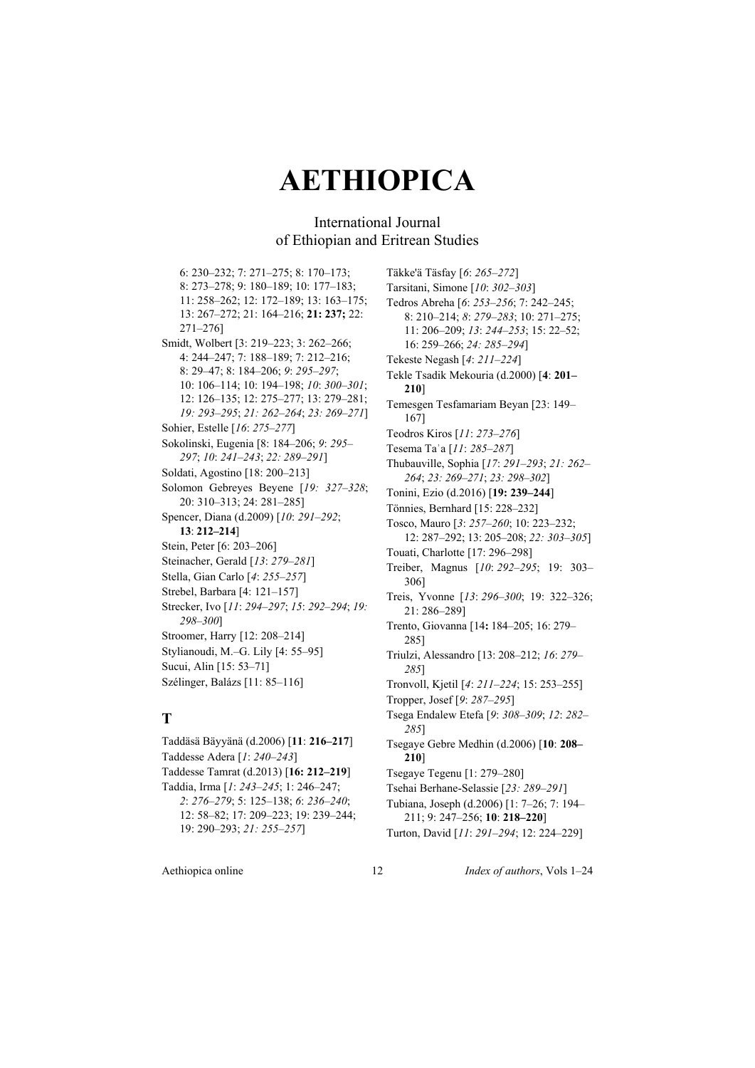### International Journal of Ethiopian and Eritrean Studies

6: 230–232; 7: 271–275; 8: 170–173; 8: 273–278; 9: 180–189; 10: 177–183; 11: 258–262; 12: 172–189; 13: 163–175; 13: 267–272; 21: 164–216; **21: 237;** 22: 271–276] Smidt, Wolbert [3: 219–223; 3: 262–266; 4: 244–247; 7: 188–189; 7: 212–216; 8: 29–47; 8: 184–206; *9*: *295–297*; 10: 106–114; 10: 194–198; *10*: *300–301*; 12: 126–135; 12: 275–277; 13: 279–281; *19: 293–295*; *21: 262–264*; *23: 269–271*] Sohier, Estelle [*16*: *275–277*] Sokolinski, Eugenia [8: 184–206; *9*: *295– 297*; *10*: *241–243*; *22: 289–291*] Soldati, Agostino [18: 200–213] Solomon Gebreyes Beyene [*19: 327–328*; 20: 310–313; 24: 281–285] Spencer, Diana (d.2009) [*10*: *291–292*; **13**: **212–214**] Stein, Peter [6: 203–206] Steinacher, Gerald [*13*: *279–281*] Stella, Gian Carlo [*4*: *255–257*] Strebel, Barbara [4: 121–157] Strecker, Ivo [*11*: *294–297*; *15*: *292–294*; *19: 298–300*] Stroomer, Harry [12: 208–214] Stylianoudi, M.–G. Lily [4: 55–95] Sucui, Alin [15: 53–71] Szélinger, Balázs [11: 85–116]

### **T**

Taddäsä Bäyyänä (d.2006) [**11**: **216–217**] Taddesse Adera [*1*: *240–243*] Taddesse Tamrat (d.2013) [**16: 212–219**] Taddia, Irma [*1*: *243–245*; 1: 246–247; *2*: *276–279*; 5: 125–138; *6*: *236–240*; 12: 58–82; 17: 209–223; 19: 239–244; 19: 290–293; *21: 255–257*]

Täkke'ä Täsfay [*6*: *265–272*] Tarsitani, Simone [*10*: *302–303*] Tedros Abreha [*6*: *253–256*; 7: 242–245; 8: 210–214; *8*: *279–283*; 10: 271–275; 11: 206–209; *13*: *244–253*; 15: 22–52; 16: 259–266; *24: 285–294*] Tekeste Negash [*4*: *211–224*] Tekle Tsadik Mekouria (d.2000) [**4**: **201– 210**] Temesgen Tesfamariam Beyan [23: 149– 167] Teodros Kiros [*11*: *273–276*] Tesema Taʾa [*11*: *285–287*] Thubauville, Sophia [*17*: *291–293*; *21: 262– 264*; *23: 269–271*; *23: 298–302*] Tonini, Ezio (d.2016) [**19: 239–244**] Tönnies, Bernhard [15: 228–232] Tosco, Mauro [*3*: *257–260*; 10: 223–232; 12: 287–292; 13: 205–208; *22: 303–305*] Touati, Charlotte [17: 296–298] Treiber, Magnus [*10*: *292–295*; 19: 303– 306] Treis, Yvonne [*13*: *296–300*; 19: 322–326; 21: 286–289] Trento, Giovanna [14**:** 184–205; 16: 279– 285] Triulzi, Alessandro [13: 208–212; *16*: *279– 285*] Tronvoll, Kjetil [*4*: *211–224*; 15: 253–255] Tropper, Josef [*9*: *287–295*] Tsega Endalew Etefa [*9*: *308–309*; *12*: *282– 285*] Tsegaye Gebre Medhin (d.2006) [**10**: **208– 210**] Tsegaye Tegenu [1: 279–280] Tsehai Berhane-Selassie [*23: 289–291*] Tubiana, Joseph (d.2006) [1: 7–26; 7: 194– 211; 9: 247–256; **10**: **218–220**]

Turton, David [*11*: *291–294*; 12: 224–229]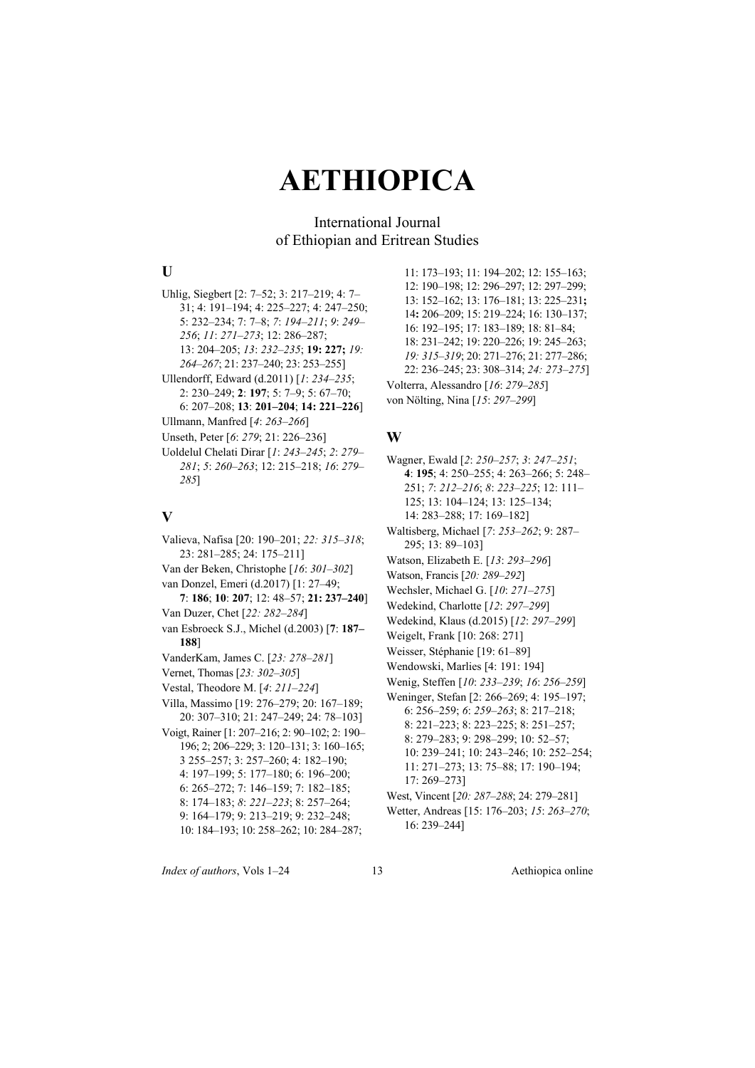### International Journal of Ethiopian and Eritrean Studies

#### **U**

Uhlig, Siegbert [2: 7–52; 3: 217–219; 4: 7– 31; 4: 191–194; 4: 225–227; 4: 247–250; 5: 232–234; 7: 7–8; *7*: *194–211*; *9*: *249– 256*; *11*: *271–273*; 12: 286–287; 13: 204–205; *13*: *232–235*; **19: 227;** *19: 264–267*; 21: 237–240; 23: 253–255]

Ullendorff, Edward (d.2011) [*1*: *234–235*; 2: 230–249; **2**: **197**; 5: 7–9; 5: 67–70; 6: 207–208; **13**: **201–204**; **14: 221–226**]

Ullmann, Manfred [*4*: *263–266*]

- Unseth, Peter [*6*: *279*; 21: 226–236]
- Uoldelul Chelati Dirar [*1*: *243–245*; *2*: *279– 281*; *5*: *260–263*; 12: 215–218; *16*: *279– 285*]

#### **V**

Valieva, Nafisa [20: 190–201; *22: 315–318*; 23: 281–285; 24: 175–211] Van der Beken, Christophe [*16*: *301–302*] van Donzel, Emeri (d.2017) [1: 27–49; **7**: **186**; **10**: **207**; 12: 48–57; **21: 237–240**] Van Duzer, Chet [*22: 282–284*] van Esbroeck S.J., Michel (d.2003) [**7**: **187– 188**] VanderKam, James C. [*23: 278–281*] Vernet, Thomas [*23: 302–305*] Vestal, Theodore M. [*4*: *211–224*] Villa, Massimo [19: 276–279; 20: 167–189; 20: 307–310; 21: 247–249; 24: 78–103] Voigt, Rainer [1: 207–216; 2: 90–102; 2: 190– 196; 2; 206–229; 3: 120–131; 3: 160–165; 3 255–257; 3: 257–260; 4: 182–190; 4: 197–199; 5: 177–180; 6: 196–200; 6: 265–272; 7: 146–159; 7: 182–185; 8: 174–183; *8*: *221–223*; 8: 257–264; 9: 164–179; 9: 213–219; 9: 232–248; 10: 184–193; 10: 258–262; 10: 284–287;

11: 173–193; 11: 194–202; 12: 155–163; 12: 190–198; 12: 296–297; 12: 297–299; 13: 152–162; 13: 176–181; 13: 225–231**;**  14**:** 206–209; 15: 219–224; 16: 130–137; 16: 192–195; 17: 183–189; 18: 81–84; 18: 231–242; 19: 220–226; 19: 245–263; *19: 315–319*; 20: 271–276; 21: 277–286; 22: 236–245; 23: 308–314; *24: 273–275*] Volterra, Alessandro [*16*: *279–285*] von Nölting, Nina [*15*: *297–299*]

#### **W**

- Wagner, Ewald [*2*: *250–257*; *3*: *247–251*; **4**: **195**; 4: 250–255; 4: 263–266; 5: 248– 251; *7*: *212–216*; *8*: *223–225*; 12: 111–
- 125; 13: 104–124; 13: 125–134; 14: 283–288; 17: 169–182]
- Waltisberg, Michael [*7*: *253–262*; 9: 287– 295; 13: 89–103]
- Watson, Elizabeth E. [*13*: *293–296*]
- Watson, Francis [*20: 289–292*]
- Wechsler, Michael G. [*10*: *271–275*]
- Wedekind, Charlotte [*12*: *297–299*]
- Wedekind, Klaus (d.2015) [*12*: *297–299*]
- Weigelt, Frank [10: 268: 271]
- Weisser, Stéphanie [19: 61–89]
- Wendowski, Marlies [4: 191: 194]
- Wenig, Steffen [*10*: *233–239*; *16*: *256–259*] Weninger, Stefan [2: 266–269; 4: 195–197;
- 6: 256–259; *6*: *259–263*; 8: 217–218; 8: 221–223; 8: 223–225; 8: 251–257; 8: 279–283; 9: 298–299; 10: 52–57; 10: 239–241; 10: 243–246; 10: 252–254; 11: 271–273; 13: 75–88; 17: 190–194; 17: 269–273]
- West, Vincent [*20: 287–288*; 24: 279–281]
- Wetter, Andreas [15: 176–203; *15*: *263–270*; 16: 239–244]